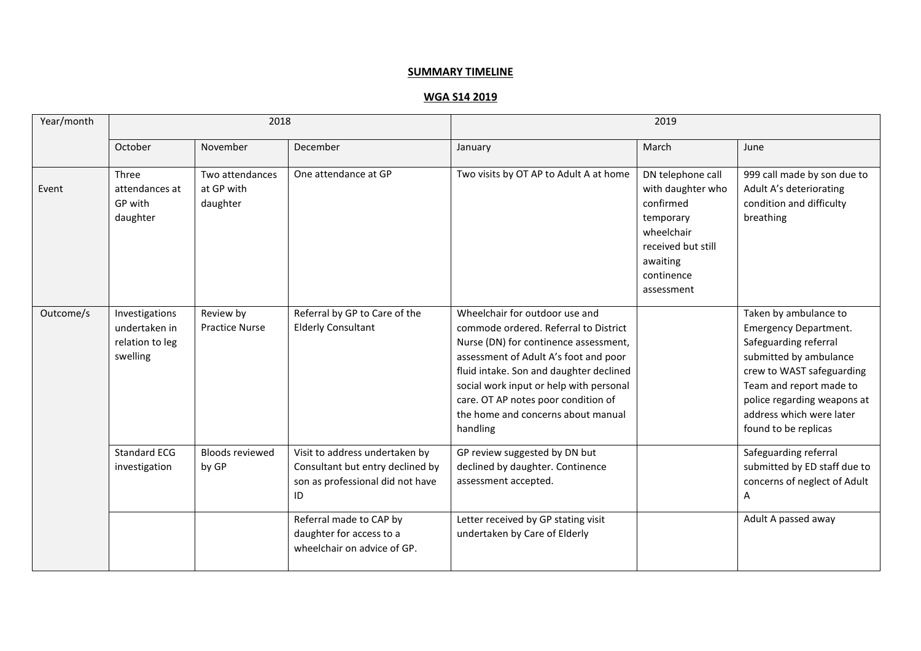## **SUMMARY TIMELINE**

|--|

| Year/month | 2018                                                           |                                           |                                                                                                              | 2019                                                                                                                                                                                                                                                                                                                                     |                                                                                                                                              |                                                                                                                                                                                                                                                     |
|------------|----------------------------------------------------------------|-------------------------------------------|--------------------------------------------------------------------------------------------------------------|------------------------------------------------------------------------------------------------------------------------------------------------------------------------------------------------------------------------------------------------------------------------------------------------------------------------------------------|----------------------------------------------------------------------------------------------------------------------------------------------|-----------------------------------------------------------------------------------------------------------------------------------------------------------------------------------------------------------------------------------------------------|
|            | October                                                        | November                                  | December                                                                                                     | January                                                                                                                                                                                                                                                                                                                                  | March                                                                                                                                        | June                                                                                                                                                                                                                                                |
| Event      | Three<br>attendances at<br>GP with<br>daughter                 | Two attendances<br>at GP with<br>daughter | One attendance at GP                                                                                         | Two visits by OT AP to Adult A at home                                                                                                                                                                                                                                                                                                   | DN telephone call<br>with daughter who<br>confirmed<br>temporary<br>wheelchair<br>received but still<br>awaiting<br>continence<br>assessment | 999 call made by son due to<br>Adult A's deteriorating<br>condition and difficulty<br>breathing                                                                                                                                                     |
| Outcome/s  | Investigations<br>undertaken in<br>relation to leg<br>swelling | Review by<br><b>Practice Nurse</b>        | Referral by GP to Care of the<br><b>Elderly Consultant</b>                                                   | Wheelchair for outdoor use and<br>commode ordered. Referral to District<br>Nurse (DN) for continence assessment,<br>assessment of Adult A's foot and poor<br>fluid intake. Son and daughter declined<br>social work input or help with personal<br>care. OT AP notes poor condition of<br>the home and concerns about manual<br>handling |                                                                                                                                              | Taken by ambulance to<br><b>Emergency Department.</b><br>Safeguarding referral<br>submitted by ambulance<br>crew to WAST safeguarding<br>Team and report made to<br>police regarding weapons at<br>address which were later<br>found to be replicas |
|            | <b>Standard ECG</b><br>investigation                           | <b>Bloods reviewed</b><br>by GP           | Visit to address undertaken by<br>Consultant but entry declined by<br>son as professional did not have<br>ID | GP review suggested by DN but<br>declined by daughter. Continence<br>assessment accepted.                                                                                                                                                                                                                                                |                                                                                                                                              | Safeguarding referral<br>submitted by ED staff due to<br>concerns of neglect of Adult<br>A                                                                                                                                                          |
|            |                                                                |                                           | Referral made to CAP by<br>daughter for access to a<br>wheelchair on advice of GP.                           | Letter received by GP stating visit<br>undertaken by Care of Elderly                                                                                                                                                                                                                                                                     |                                                                                                                                              | Adult A passed away                                                                                                                                                                                                                                 |